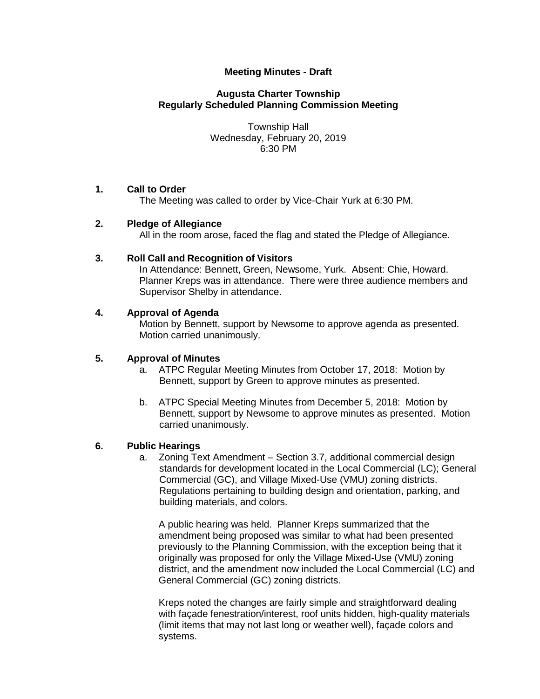# **Meeting Minutes - Draft**

# **Augusta Charter Township Regularly Scheduled Planning Commission Meeting**

Township Hall Wednesday, February 20, 2019 6:30 PM

#### **1. Call to Order**

The Meeting was called to order by Vice-Chair Yurk at 6:30 PM.

## **2. Pledge of Allegiance**

All in the room arose, faced the flag and stated the Pledge of Allegiance.

#### **3. Roll Call and Recognition of Visitors**

In Attendance: Bennett, Green, Newsome, Yurk. Absent: Chie, Howard. Planner Kreps was in attendance. There were three audience members and Supervisor Shelby in attendance.

#### **4. Approval of Agenda**

Motion by Bennett, support by Newsome to approve agenda as presented. Motion carried unanimously.

# **5. Approval of Minutes**

- a. ATPC Regular Meeting Minutes from October 17, 2018: Motion by Bennett, support by Green to approve minutes as presented.
- b. ATPC Special Meeting Minutes from December 5, 2018: Motion by Bennett, support by Newsome to approve minutes as presented. Motion carried unanimously.

# **6. Public Hearings**

a. Zoning Text Amendment – Section 3.7, additional commercial design standards for development located in the Local Commercial (LC); General Commercial (GC), and Village Mixed-Use (VMU) zoning districts. Regulations pertaining to building design and orientation, parking, and building materials, and colors.

A public hearing was held. Planner Kreps summarized that the amendment being proposed was similar to what had been presented previously to the Planning Commission, with the exception being that it originally was proposed for only the Village Mixed-Use (VMU) zoning district, and the amendment now included the Local Commercial (LC) and General Commercial (GC) zoning districts.

Kreps noted the changes are fairly simple and straightforward dealing with facade fenestration/interest, roof units hidden, high-quality materials (limit items that may not last long or weather well), façade colors and systems.